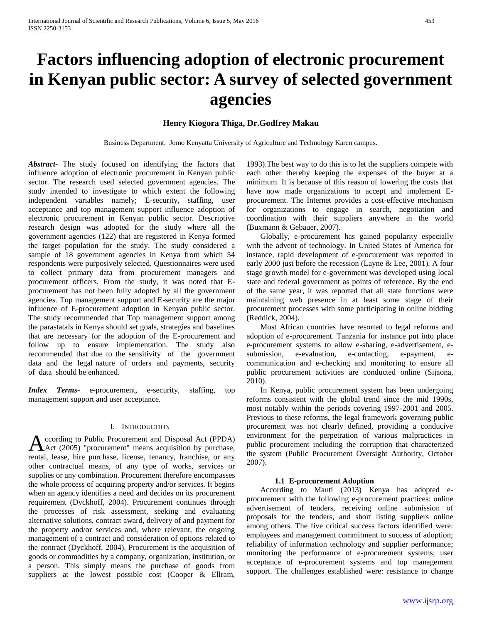# **Factors influencing adoption of electronic procurement in Kenyan public sector: A survey of selected government agencies**

# **Henry Kiogora Thiga, Dr.Godfrey Makau**

Business Department, Jomo Kenyatta University of Agriculture and Technology Karen campus.

*Abstract***-** The study focused on identifying the factors that influence adoption of electronic procurement in Kenyan public sector. The research used selected government agencies. The study intended to investigate to which extent the following independent variables namely; E-security, staffing, user acceptance and top management support influence adoption of electronic procurement in Kenyan public sector. Descriptive research design was adopted for the study where all the government agencies (122) that are registered in Kenya formed the target population for the study. The study considered a sample of 18 government agencies in Kenya from which 54 respondents were purposively selected. Questionnaires were used to collect primary data from procurement managers and procurement officers. From the study, it was noted that Eprocurement has not been fully adopted by all the government agencies. Top management support and E-security are the major influence of E-procurement adoption in Kenyan public sector. The study recommended that Top management support among the parastatals in Kenya should set goals, strategies and baselines that are necessary for the adoption of the E-procurement and follow up to ensure implementation. The study also recommended that due to the sensitivity of the government data and the legal nature of orders and payments, security of data should be enhanced.

*Index Terms*- e-procurement, e-security, staffing, top management support and user acceptance.

# I. INTRODUCTION

ccording to Public Procurement and Disposal Act (PPDA) According to Public Procurement and Disposal Act (PPDA)<br>Act (2005) "procurement" means acquisition by purchase, rental, lease, hire purchase, license, tenancy, franchise, or any other contractual means, of any type of works, services or supplies or any combination. Procurement therefore encompasses the whole process of acquiring property and/or services. It begins when an agency identifies a need and decides on its procurement requirement (Dyckhoff, 2004). Procurement continues through the processes of risk assessment, seeking and evaluating alternative solutions, contract award, delivery of and payment for the property and/or services and, where relevant, the ongoing management of a contract and consideration of options related to the contract (Dyckhoff, 2004). Procurement is the acquisition of goods or commodities by a company, organization, institution, or a person. This simply means the purchase of goods from suppliers at the lowest possible cost (Cooper & Ellram,

1993).The best way to do this is to let the suppliers compete with each other thereby keeping the expenses of the buyer at a minimum. It is because of this reason of lowering the costs that have now made organizations to accept and implement Eprocurement. The Internet provides a cost-effective mechanism for organizations to engage in search, negotiation and coordination with their suppliers anywhere in the world (Buxmann & Gebauer, 2007).

 Globally, e-procurement has gained popularity especially with the advent of technology. In United States of America for instance, rapid development of e-procurement was reported in early 2000 just before the recession (Layne & Lee, 2001). A four stage growth model for e-government was developed using local state and federal government as points of reference. By the end of the same year, it was reported that all state functions were maintaining web presence in at least some stage of their procurement processes with some participating in online bidding (Reddick, 2004).

 Most African countries have resorted to legal reforms and adoption of e-procurement. Tanzania for instance put into place e-procurement systems to allow e-sharing, e-advertisement, esubmission, e-evaluation, e-contacting, e-payment, ecommunication and e-checking and monitoring to ensure all public procurement activities are conducted online (Sijaona, 2010).

 In Kenya, public procurement system has been undergoing reforms consistent with the global trend since the mid 1990s, most notably within the periods covering 1997-2001 and 2005. Previous to these reforms, the legal framework governing public procurement was not clearly defined, providing a conducive environment for the perpetration of various malpractices in public procurement including the corruption that characterized the system (Public Procurement Oversight Authority, October 2007).

# **1.1 E-procurement Adoption**

 According to Mauti (2013) Kenya has adopted eprocurement with the following e-procurement practices: online advertisement of tenders, receiving online submission of proposals for the tenders, and short listing suppliers online among others. The five critical success factors identified were: employees and management commitment to success of adoption; reliability of information technology and supplier performance; monitoring the performance of e-procurement systems; user acceptance of e-procurement systems and top management support. The challenges established were: resistance to change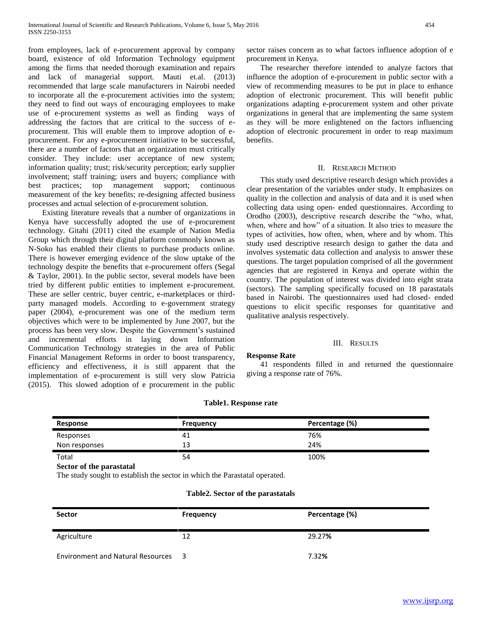from employees, lack of e-procurement approval by company board, existence of old Information Technology equipment among the firms that needed thorough examination and repairs and lack of managerial support. Mauti et.al. (2013) recommended that large scale manufacturers in Nairobi needed to incorporate all the e-procurement activities into the system; they need to find out ways of encouraging employees to make use of e-procurement systems as well as finding ways of addressing the factors that are critical to the success of eprocurement. This will enable them to improve adoption of eprocurement. For any e-procurement initiative to be successful, there are a number of factors that an organization must critically consider. They include: user acceptance of new system; information quality; trust; risk/security perception; early supplier involvement; staff training; users and buyers; compliance with best practices; top management support; continuous measurement of the key benefits; re-designing affected business processes and actual selection of e-procurement solution.

 Existing literature reveals that a number of organizations in Kenya have successfully adopted the use of e-procurement technology. Gitahi (2011) cited the example of Nation Media Group which through their digital platform commonly known as N-Soko has enabled their clients to purchase products online. There is however emerging evidence of the slow uptake of the technology despite the benefits that e-procurement offers (Segal & Taylor, 2001). In the public sector, several models have been tried by different public entities to implement e-procurement. These are seller centric, buyer centric, e-marketplaces or thirdparty managed models. According to e-government strategy paper (2004), e-procurement was one of the medium term objectives which were to be implemented by June 2007, but the process has been very slow. Despite the Government's sustained and incremental efforts in laying down Information Communication Technology strategies in the area of Public Financial Management Reforms in order to boost transparency, efficiency and effectiveness, it is still apparent that the implementation of e-procurement is still very slow Patricia (2015). This slowed adoption of e procurement in the public

sector raises concern as to what factors influence adoption of e procurement in Kenya.

 The researcher therefore intended to analyze factors that influence the adoption of e-procurement in public sector with a view of recommending measures to be put in place to enhance adoption of electronic procurement. This will benefit public organizations adapting e-procurement system and other private organizations in general that are implementing the same system as they will be more enlightened on the factors influencing adoption of electronic procurement in order to reap maximum benefits.

## II. RESEARCH METHOD

 This study used descriptive research design which provides a clear presentation of the variables under study. It emphasizes on quality in the collection and analysis of data and it is used when collecting data using open- ended questionnaires. According to Orodho (2003), descriptive research describe the "who, what, when, where and how" of a situation. It also tries to measure the types of activities, how often, when, where and by whom. This study used descriptive research design to gather the data and involves systematic data collection and analysis to answer these questions. The target population comprised of all the government agencies that are registered in Kenya and operate within the country. The population of interest was divided into eight strata (sectors). The sampling specifically focused on 18 parastatals based in Nairobi. The questionnaires used had closed- ended questions to elicit specific responses for quantitative and qualitative analysis respectively.

## III. RESULTS

# **Response Rate**

 41 respondents filled in and returned the questionnaire giving a response rate of 76%.

| Response      | <b>Frequency</b> | Percentage (%) |
|---------------|------------------|----------------|
| Responses     | 41               | 76%            |
| Non responses | 13               | 24%            |
| Total         | 54               | 100%           |

# **Table1. Response rate**

**Sector of the parastatal**

The study sought to establish the sector in which the Parastatal operated.

# **Table2. Sector of the parastatals**

| <b>Sector</b>                            | <b>Frequency</b> | Percentage (%) |
|------------------------------------------|------------------|----------------|
| Agriculture                              | 12               | 29.27%         |
| <b>Environment and Natural Resources</b> | - 3              | 7.32%          |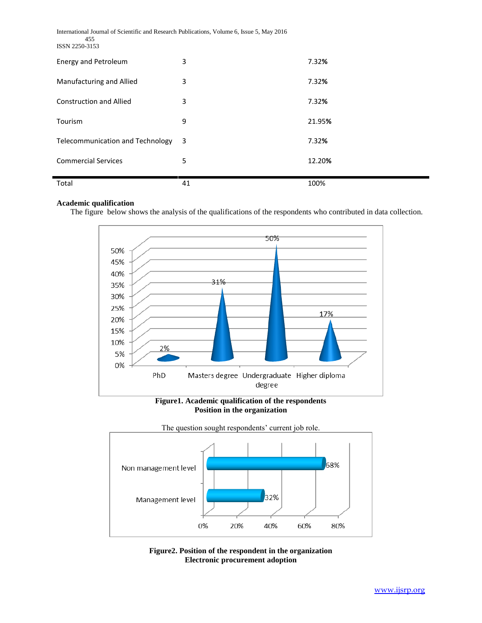| International Journal of Scientific and Research Publications, Volume 6, Issue 5, May 2016<br>455<br>ISSN 2250-3153 |    |        |  |  |
|---------------------------------------------------------------------------------------------------------------------|----|--------|--|--|
| <b>Energy and Petroleum</b>                                                                                         | 3  | 7.32%  |  |  |
| Manufacturing and Allied                                                                                            | 3  | 7.32%  |  |  |
| <b>Construction and Allied</b>                                                                                      | 3  | 7.32%  |  |  |
| Tourism                                                                                                             | 9  | 21.95% |  |  |
| <b>Telecommunication and Technology</b>                                                                             | 3  | 7.32%  |  |  |
| <b>Commercial Services</b>                                                                                          | 5  | 12.20% |  |  |
| Total                                                                                                               | 41 | 100%   |  |  |

# **Academic qualification**

The figure below shows the analysis of the qualifications of the respondents who contributed in data collection.



**Figure1. Academic qualification of the respondents Position in the organization**



**Figure2. Position of the respondent in the organization Electronic procurement adoption**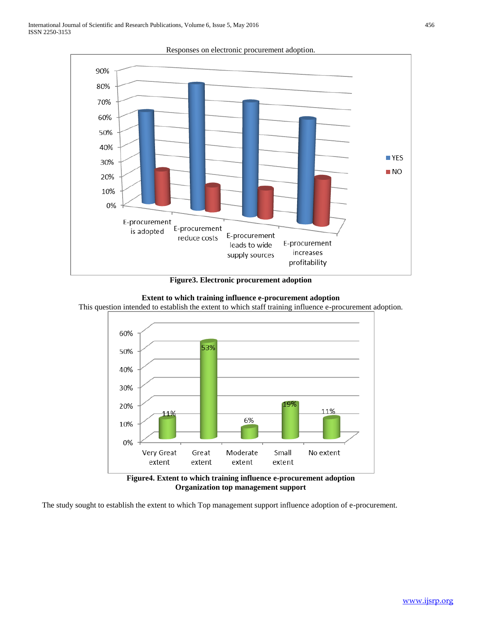

Responses on electronic procurement adoption.

**Figure3. Electronic procurement adoption**



This question intended to establish the extent to which staff training influence e-procurement adoption.



**Figure4. Extent to which training influence e-procurement adoption Organization top management support**

The study sought to establish the extent to which Top management support influence adoption of e-procurement.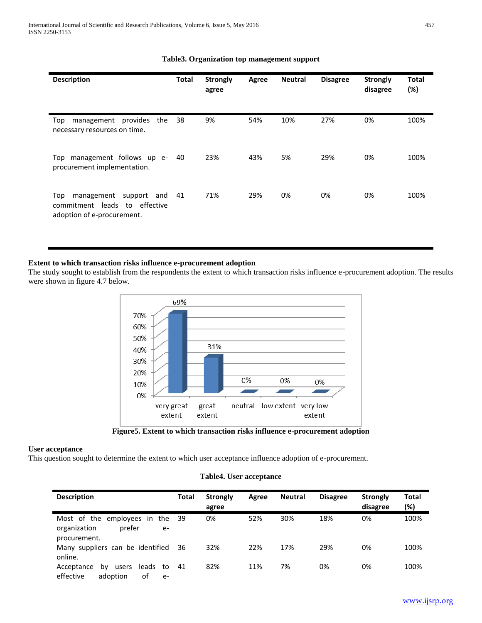| <b>Description</b>                                                                                    | <b>Total</b> | <b>Strongly</b><br>agree | Agree | <b>Neutral</b> | <b>Disagree</b> | <b>Strongly</b><br>disagree | <b>Total</b><br>(%) |
|-------------------------------------------------------------------------------------------------------|--------------|--------------------------|-------|----------------|-----------------|-----------------------------|---------------------|
| provides<br>management<br>the<br>Top<br>necessary resources on time.                                  | 38           | 9%                       | 54%   | 10%            | 27%             | 0%                          | 100%                |
| Top management follows up e-<br>procurement implementation.                                           | 40           | 23%                      | 43%   | 5%             | 29%             | 0%                          | 100%                |
| Top<br>management<br>support<br>and<br>commitment leads<br>to effective<br>adoption of e-procurement. | 41           | 71%                      | 29%   | 0%             | 0%              | 0%                          | 100%                |

# **Table3. Organization top management support**

# **Extent to which transaction risks influence e-procurement adoption**

The study sought to establish from the respondents the extent to which transaction risks influence e-procurement adoption. The results were shown in figure 4.7 below.



**Figure5. Extent to which transaction risks influence e-procurement adoption**

# **User acceptance**

This question sought to determine the extent to which user acceptance influence adoption of e-procurement.

# **Table4. User acceptance**

| <b>Description</b>                                                                    | Total | <b>Strongly</b><br>agree | Agree | <b>Neutral</b> | <b>Disagree</b> | <b>Strongly</b><br>disagree | Total<br>(%) |
|---------------------------------------------------------------------------------------|-------|--------------------------|-------|----------------|-----------------|-----------------------------|--------------|
| Most of the employees<br>the<br>in.<br>prefer<br>organization<br>$e-$<br>procurement. | 39    | 0%                       | 52%   | 30%            | 18%             | 0%                          | 100%         |
| Many suppliers can be identified<br>online.                                           | 36    | 32%                      | 22%   | 17%            | 29%             | 0%                          | 100%         |
| leads<br>Acceptance<br>users<br>to<br>bv<br>effective<br>0f<br>adoption<br>$e-$       | 41    | 82%                      | 11%   | 7%             | 0%              | 0%                          | 100%         |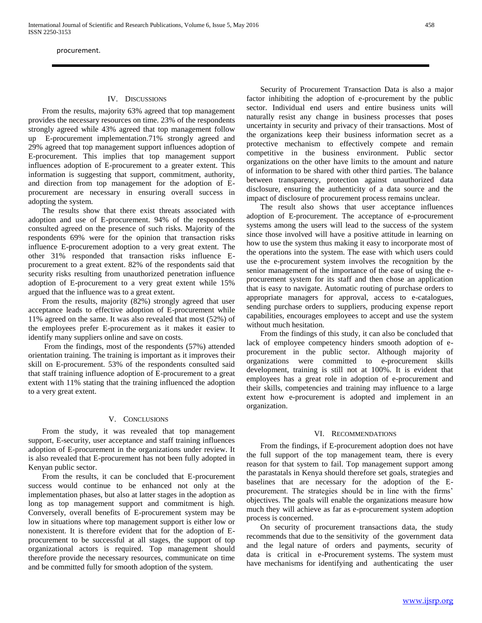# IV. DISCUSSIONS

 From the results, majority 63% agreed that top management provides the necessary resources on time. 23% of the respondents strongly agreed while 43% agreed that top management follow up E-procurement implementation.71% strongly agreed and 29% agreed that top management support influences adoption of E-procurement. This implies that top management support influences adoption of E-procurement to a greater extent. This information is suggesting that support, commitment, authority, and direction from top management for the adoption of Eprocurement are necessary in ensuring overall success in adopting the system.

 The results show that there exist threats associated with adoption and use of E-procurement. 94% of the respondents consulted agreed on the presence of such risks. Majority of the respondents 69% were for the opinion that transaction risks influence E-procurement adoption to a very great extent. The other 31% responded that transaction risks influence Eprocurement to a great extent. 82% of the respondents said that security risks resulting from unauthorized penetration influence adoption of E-procurement to a very great extent while 15% argued that the influence was to a great extent.

 From the results, majority (82%) strongly agreed that user acceptance leads to effective adoption of E-procurement while 11% agreed on the same. It was also revealed that most (52%) of the employees prefer E-procurement as it makes it easier to identify many suppliers online and save on costs.

 From the findings, most of the respondents (57%) attended orientation training. The training is important as it improves their skill on E-procurement. 53% of the respondents consulted said that staff training influence adoption of E-procurement to a great extent with 11% stating that the training influenced the adoption to a very great extent.

## V. CONCLUSIONS

 From the study, it was revealed that top management support, E-security, user acceptance and staff training influences adoption of E-procurement in the organizations under review. It is also revealed that E-procurement has not been fully adopted in Kenyan public sector.

 From the results, it can be concluded that E-procurement success would continue to be enhanced not only at the implementation phases, but also at latter stages in the adoption as long as top management support and commitment is high. Conversely, overall benefits of E-procurement system may be low in situations where top management support is either low or nonexistent. It is therefore evident that for the adoption of Eprocurement to be successful at all stages, the support of top organizational actors is required. Top management should therefore provide the necessary resources, communicate on time and be committed fully for smooth adoption of the system.

 Security of Procurement Transaction Data is also a major factor inhibiting the adoption of e-procurement by the public sector. Individual end users and entire business units will naturally resist any change in business processes that poses uncertainty in security and privacy of their transactions. Most of the organizations keep their business information secret as a protective mechanism to effectively compete and remain competitive in the business environment. Public sector organizations on the other have limits to the amount and nature of information to be shared with other third parties. The balance between transparency, protection against unauthorized data disclosure, ensuring the authenticity of a data source and the impact of disclosure of procurement process remains unclear.

 The result also shows that user acceptance influences adoption of E-procurement. The acceptance of e-procurement systems among the users will lead to the success of the system since those involved will have a positive attitude in learning on how to use the system thus making it easy to incorporate most of the operations into the system. The ease with which users could use the e-procurement system involves the recognition by the senior management of the importance of the ease of using the eprocurement system for its staff and then chose an application that is easy to navigate. Automatic routing of purchase orders to appropriate managers for approval, access to e-catalogues, sending purchase orders to suppliers, producing expense report capabilities, encourages employees to accept and use the system without much hesitation.

 From the findings of this study, it can also be concluded that lack of employee competency hinders smooth adoption of eprocurement in the public sector. Although majority of organizations were committed to e-procurement skills development, training is still not at 100%. It is evident that employees has a great role in adoption of e-procurement and their skills, competencies and training may influence to a large extent how e-procurement is adopted and implement in an organization.

## VI. RECOMMENDATIONS

 From the findings, if E-procurement adoption does not have the full support of the top management team, there is every reason for that system to fail. Top management support among the parastatals in Kenya should therefore set goals, strategies and baselines that are necessary for the adoption of the Eprocurement. The strategies should be in line with the firms' objectives. The goals will enable the organizations measure how much they will achieve as far as e-procurement system adoption process is concerned.

 On security of procurement transactions data, the study recommends that due to the sensitivity of the government data and the legal nature of orders and payments, security of data is critical in e-Procurement systems. The system must have mechanisms for identifying and authenticating the user